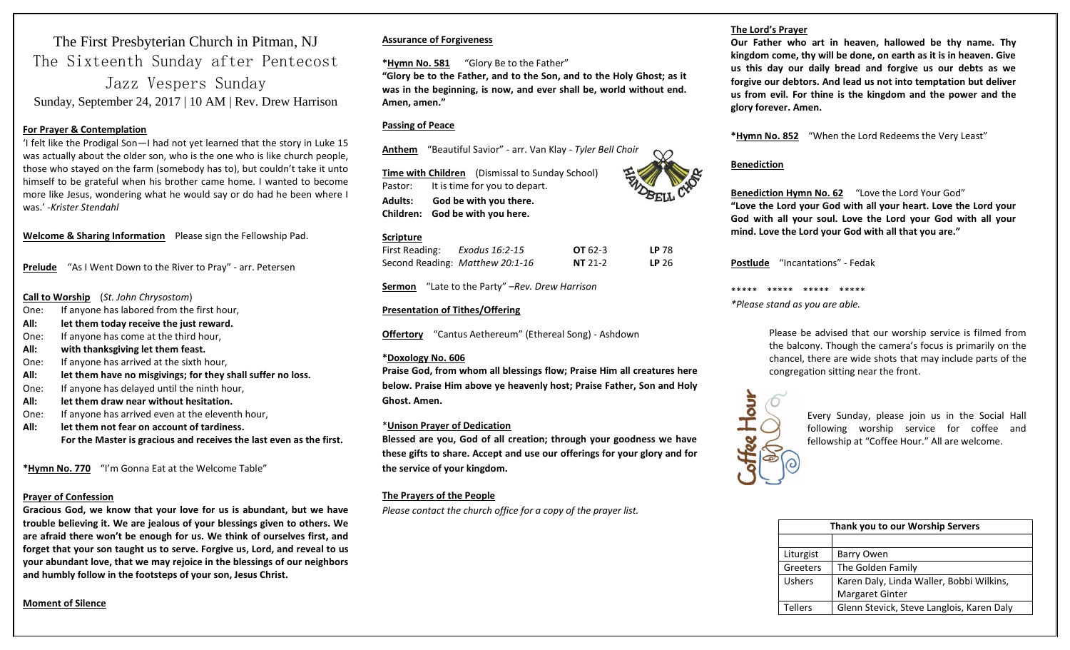# The First Presbyterian Church in Pitman, NJ The Sixteenth Sunday after Pentecost Jazz Vespers Sunday

Sunday, September 24, 2017 | 10 AM | Rev. Drew Harrison

#### **For Prayer & Contemplation**

'I felt like the Prodigal Son—I had not yet learned that the story in Luke 15 was actually about the older son, who is the one who is like church people, those who stayed on the farm (somebody has to), but couldn't take it unto himself to be grateful when his brother came home. I wanted to become more like Jesus, wondering what he would say or do had he been where I was.' -*Krister Stendahl*

**Welcome & Sharing Information** Please sign the Fellowship Pad.

**Prelude** "As I Went Down to the River to Pray" - arr. Petersen

#### **Call to Worship** (*St. John Chrysostom*)

- One: If anyone has labored from the first hour,
- **All: let them today receive the just reward.**
- One: If anyone has come at the third hour,
- **All: with thanksgiving let them feast.**
- One: If anyone has arrived at the sixth hour,
- **All: let them have no misgivings; for they shall suffer no loss.**
- One: If anyone has delayed until the ninth hour,
- **All: let them draw near without hesitation.**
- One: If anyone has arrived even at the eleventh hour,
- **All: let them not fear on account of tardiness. For the Master is gracious and receives the last even as the first.**

**\*Hymn No. 770** "I'm Gonna Eat at the Welcome Table"

#### **Prayer of Confession**

**Gracious God, we know that your love for us is abundant, but we have trouble believing it. We are jealous of your blessings given to others. We are afraid there won't be enough for us. We think of ourselves first, and forget that your son taught us to serve. Forgive us, Lord, and reveal to us your abundant love, that we may rejoice in the blessings of our neighbors and humbly follow in the footsteps of your son, Jesus Christ.** 

#### **Assurance of Forgiveness**

**\*Hymn No. 581** "Glory Be to the Father"

**"Glory be to the Father, and to the Son, and to the Holy Ghost; as it was in the beginning, is now, and ever shall be, world without end. Amen, amen."**

#### **Passing of Peace**

**Anthem** "Beautiful Savior" - arr. Van Klay - *Tyler Bell Choir*

**Time with Children** (Dismissal to Sunday School) Pastor: It is time for you to depart. **Adults: God be with you there. Children: God be with you here.**

#### **Scripture**

| <u> De Barbara de la Carlo de Barbara de la Carlo de Barbara de la Carlo de Barbara de la Carlo de Barbara de la </u><br>First Reading: | Exodus 16:2-15                  | $OT 62-3$ | LP 78            |
|-----------------------------------------------------------------------------------------------------------------------------------------|---------------------------------|-----------|------------------|
|                                                                                                                                         | Second Reading: Matthew 20:1-16 | $NT 21-2$ | LP <sub>26</sub> |

**Sermon** "Late to the Party" –*Rev. Drew Harrison* 

#### **Presentation of Tithes/Offering**

**Offertory** "Cantus Aethereum" (Ethereal Song) - Ashdown

#### **\*Doxology No. 606**

**Praise God, from whom all blessings flow; Praise Him all creatures here below. Praise Him above ye heavenly host; Praise Father, Son and Holy Ghost. Amen.**

#### \***Unison Prayer of Dedication**

**Blessed are you, God of all creation; through your goodness we have these gifts to share. Accept and use our offerings for your glory and for the service of your kingdom.**

#### **The Prayers of the People**

*Please contact the church office for a copy of the prayer list.*

#### **The Lord's Prayer**

**Our Father who art in heaven, hallowed be thy name. Thy kingdom come, thy will be done, on earth as it is in heaven. Give us this day our daily bread and forgive us our debts as we forgive our debtors. And lead us not into temptation but deliver us from evil. For thine is the kingdom and the power and the glory forever. Amen.** 

**\*Hymn No. 852** "When the Lord Redeems the Very Least"

#### **Benediction**

**Benediction Hymn No. 62** "Love the Lord Your God" **"Love the Lord your God with all your heart. Love the Lord your God with all your soul. Love the Lord your God with all your mind. Love the Lord your God with all that you are."**

**Postlude** "Incantations" - Fedak

\*\*\*\*\* \*\*\*\*\* \*\*\*\*\* \*\*\*\*\*

*\*Please stand as you are able.*

Please be advised that our worship service is filmed from the balcony. Though the camera's focus is primarily on the chancel, there are wide shots that may include parts of the congregation sitting near the front.



Every Sunday, please join us in the Social Hall following worship service for coffee and fellowship at "Coffee Hour." All are welcome.

| Thank you to our Worship Servers |                                           |  |
|----------------------------------|-------------------------------------------|--|
|                                  |                                           |  |
| Liturgist                        | Barry Owen                                |  |
| Greeters                         | The Golden Family                         |  |
| <b>Ushers</b>                    | Karen Daly, Linda Waller, Bobbi Wilkins,  |  |
|                                  | <b>Margaret Ginter</b>                    |  |
| Tellers                          | Glenn Stevick, Steve Langlois, Karen Daly |  |

**Moment of Silence**